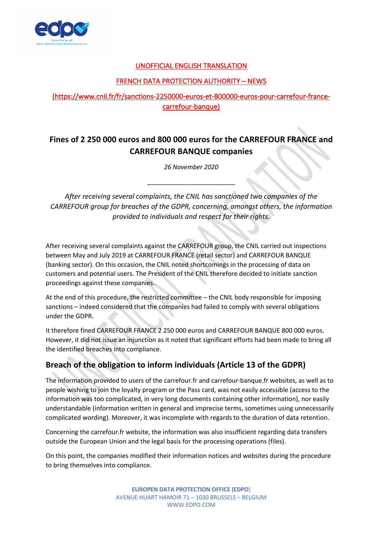

#### UNOFFICIAL ENGLISH TRANSLATION

#### FRENCH DATA PROTECTION AUTHORITY – NEWS

### (https://www.cnil.fr/fr/sanctions-2250000-euros-et-800000-euros-pour-carrefour-francecarrefour-banque)

# **Fines of 2 250 000 euros and 800 000 euros for the CARREFOUR FRANCE and CARREFOUR BANQUE companies**

*26 November 2020*

\_\_\_\_\_\_\_\_\_\_\_\_\_\_\_\_\_\_\_\_\_\_\_\_\_

*After receiving several complaints, the CNIL has sanctioned two companies of the CARREFOUR group for breaches of the GDPR, concerning, amongst others, the information provided to individuals and respect for their rights.*

After receiving several complaints against the CARREFOUR group, the CNIL carried out inspections between May and July 2019 at CARREFOUR FRANCE (retail sector) and CARREFOUR BANQUE (banking sector). On this occasion, the CNIL noted shortcomings in the processing of data on customers and potential users. The President of the CNIL therefore decided to initiate sanction proceedings against these companies.

At the end of this procedure, the restricted committee – the CNIL body responsible for imposing sanctions – indeed considered that the companies had failed to comply with several obligations under the GDPR.

It therefore fined CARREFOUR FRANCE 2 250 000 euros and CARREFOUR BANQUE 800 000 euros. However, it did not issue an injunction as it noted that significant efforts had been made to bring all the identified breaches into compliance.

### **Breach of the obligation to inform individuals (Article 13 of the GDPR)**

The information provided to users of the carrefour.fr and carrefour-banque.fr websites, as well as to people wishing to join the loyalty program or the Pass card, was not easily accessible (access to the information was too complicated, in very long documents containing other information), nor easily understandable (information written in general and imprecise terms, sometimes using unnecessarily complicated wording). Moreover, it was incomplete with regards to the duration of data retention.

Concerning the carrefour.fr website, the information was also insufficient regarding data transfers outside the European Union and the legal basis for the processing operations (files).

On this point, the companies modified their information notices and websites during the procedure to bring themselves into compliance.

> **EUROPEN DATA PROTECTION OFFICE (EDPO**) AVENUE HUART HAMOIR 71 – 1030 BRUSSELS – BELGIUM WWW.EDPO.COM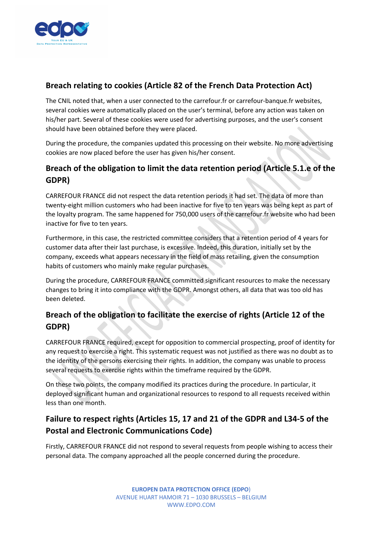

### **Breach relating to cookies (Article 82 of the French Data Protection Act)**

The CNIL noted that, when a user connected to the carrefour.fr or carrefour-banque.fr websites, several cookies were automatically placed on the user's terminal, before any action was taken on his/her part. Several of these cookies were used for advertising purposes, and the user's consent should have been obtained before they were placed.

During the procedure, the companies updated this processing on their website. No more advertising cookies are now placed before the user has given his/her consent.

## **Breach of the obligation to limit the data retention period (Article 5.1.e of the GDPR)**

CARREFOUR FRANCE did not respect the data retention periods it had set. The data of more than twenty-eight million customers who had been inactive for five to ten years was being kept as part of the loyalty program. The same happened for 750,000 users of the carrefour.fr website who had been inactive for five to ten years.

Furthermore, in this case, the restricted committee considers that a retention period of 4 years for customer data after their last purchase, is excessive. Indeed, this duration, initially set by the company, exceeds what appears necessary in the field of mass retailing, given the consumption habits of customers who mainly make regular purchases.

During the procedure, CARREFOUR FRANCE committed significant resources to make the necessary changes to bring it into compliance with the GDPR. Amongst others, all data that was too old has been deleted.

## **Breach of the obligation to facilitate the exercise of rights (Article 12 of the GDPR)**

CARREFOUR FRANCE required, except for opposition to commercial prospecting, proof of identity for any request to exercise a right. This systematic request was not justified as there was no doubt as to the identity of the persons exercising their rights. In addition, the company was unable to process several requests to exercise rights within the timeframe required by the GDPR.

On these two points, the company modified its practices during the procedure. In particular, it deployed significant human and organizational resources to respond to all requests received within less than one month.

# **Failure to respect rights (Articles 15, 17 and 21 of the GDPR and L34-5 of the Postal and Electronic Communications Code)**

Firstly, CARREFOUR FRANCE did not respond to several requests from people wishing to access their personal data. The company approached all the people concerned during the procedure.